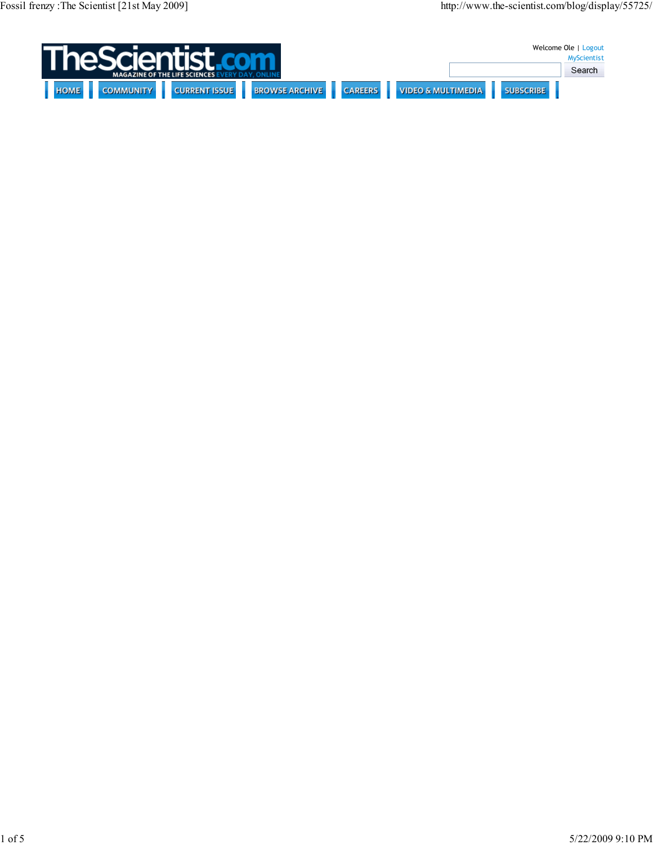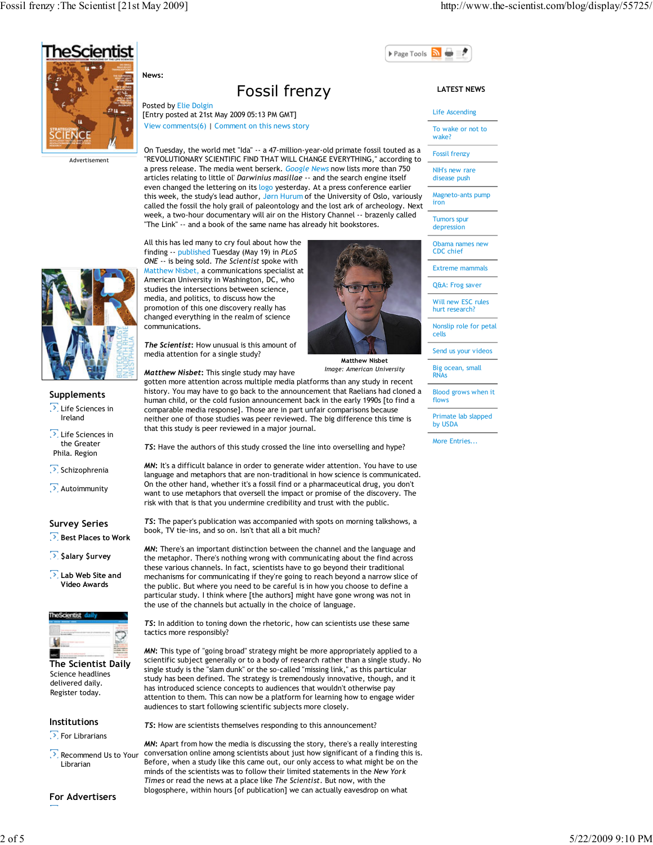

Advertisement

# Fossil frenzy

Posted by Elie Dolgin [Entry posted at 21st May 2009 05:13 PM GMT] View comments(6) | Comment on this news story

On Tuesday, the world met "Ida" -- a 47-million-year-old primate fossil touted as a "REVOLUTIONARY SCIENTIFIC FIND THAT WILL CHANGE EVERYTHING," according to a press release. The media went berserk. Google News now lists more than 750 articles relating to little ol' Darwinius masillae -- and the search engine itself even changed the lettering on its logo yesterday. At a press conference earlier this week, the study's lead author, Jørn Hurum of the University of Oslo, variously called the fossil the holy grail of paleontology and the lost ark of archeology. Next week, a two-hour documentary will air on the History Channel -- brazenly called "The Link" -- and a book of the same name has already hit bookstores.



Supplements

**D.** Life Sciences in Ireland

**D.** Life Sciences in the Greater Phila. Region

Schizophrenia

Autoimmunity

## Survey Series

**Best Places to Work** 

 $\sqrt{2}$ , \$alary \$urvey

**D** Lab Web Site and Video Awards



Science headlines delivered daily. Register today. The Scientist Daily

## Institutions

 $\sum$  For Librarians

Recommend Us to Your Librarian

For Advertisers

All this has led many to cry foul about how the finding -- published Tuesday (May 19) in PLoS ONE -- is being sold. The Scientist spoke with Matthew Nisbet, a communications specialist at American University in Washington, DC, who studies the intersections between science, media, and politics, to discuss how the promotion of this one discovery really has changed everything in the realm of science The Scientist: How unusual is this amount of

Matthew Nisbet

Image: American University media attention for a single study?

Matthew Nisbet: This single study may have

gotten more attention across multiple media platforms than any study in recent history. You may have to go back to the announcement that Raelians had cloned a human child, or the cold fusion announcement back in the early 1990s [to find a comparable media response]. Those are in part unfair comparisons because neither one of those studies was peer reviewed. The big difference this time is that this study is peer reviewed in a major journal.

TS: Have the authors of this study crossed the line into overselling and hype?

MN: It's a difficult balance in order to generate wider attention. You have to use language and metaphors that are non-traditional in how science is communicated. On the other hand, whether it's a fossil find or a pharmaceutical drug, you don't want to use metaphors that oversell the impact or promise of the discovery. The risk with that is that you undermine credibility and trust with the public.

TS: The paper's publication was accompanied with spots on morning talkshows, a book, TV tie-ins, and so on. Isn't that all a bit much?

MN: There's an important distinction between the channel and the language and the metaphor. There's nothing wrong with communicating about the find across these various channels. In fact, scientists have to go beyond their traditional mechanisms for communicating if they're going to reach beyond a narrow slice of the public. But where you need to be careful is in how you choose to define a particular study. I think where [the authors] might have gone wrong was not in the use of the channels but actually in the choice of language.

TS: In addition to toning down the rhetoric, how can scientists use these same tactics more responsibly?

MN: This type of "going broad" strategy might be more appropriately applied to a scientific subject generally or to a body of research rather than a single study. No single study is the "slam dunk" or the so-called "missing link," as this particular study has been defined. The strategy is tremendously innovative, though, and it has introduced science concepts to audiences that wouldn't otherwise pay attention to them. This can now be a platform for learning how to engage wider audiences to start following scientific subjects more closely.

TS: How are scientists themselves responding to this announcement?

MN: Apart from how the media is discussing the story, there's a really interesting conversation online among scientists about just how significant of a finding this is. Before, when a study like this came out, our only access to what might be on the minds of the scientists was to follow their limited statements in the New York Times or read the news at a place like The Scientist. But now, with the blogosphere, within hours [of publication] we can actually eavesdrop on what

## LATEST NEWS

Page Tools

#### Life Ascending

To wake or not to wake?

Fossil frenzy

NIH's new rare disease push

Magneto-ants pump iron

**Tumors spur** depression

Obama names new CDC chief

Extreme mammals

Q&A: Frog saver

Will new ESC rules hurt research?

Nonslip role for petal cells

Send us your videos

Big ocean, small RNAs

Blood grows when it flows

Primate lab slapped by USDA

More Entries...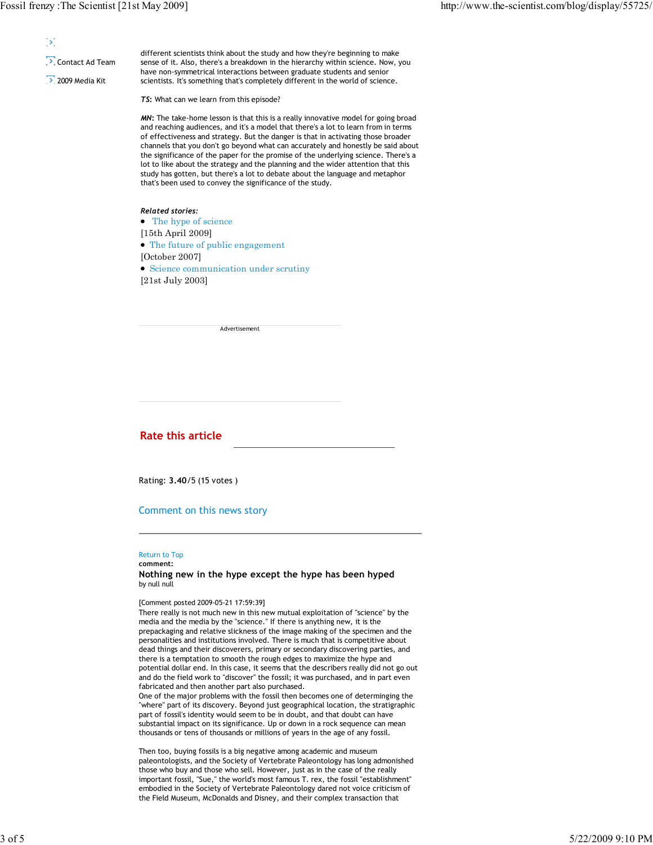## Ď.

## **D** Contact Ad Team

2009 Media Kit

different scientists think about the study and how they're beginning to make sense of it. Also, there's a breakdown in the hierarchy within science. Now, you have non-symmetrical interactions between graduate students and senior scientists. It's something that's completely different in the world of science.

TS: What can we learn from this episode?

MN: The take-home lesson is that this is a really innovative model for going broad and reaching audiences, and it's a model that there's a lot to learn from in terms of effectiveness and strategy. But the danger is that in activating those broader channels that you don't go beyond what can accurately and honestly be said about the significance of the paper for the promise of the underlying science. There's a lot to like about the strategy and the planning and the wider attention that this study has gotten, but there's a lot to debate about the language and metaphor that's been used to convey the significance of the study.

## Related stories:

• The hype of science [15th April 2009] The future of public engagement [October 2007] Science communication under scrutiny [21st July 2003]

| Advertisement |  |
|---------------|--|

## Rate this article

Rating: 3.40/5 (15 votes )

## Comment on this news story

## Return to Top

comment: Nothing new in the hype except the hype has been hyped by null null

#### [Comment posted 2009-05-21 17:59:39]

There really is not much new in this new mutual exploitation of "science" by the media and the media by the "science." If there is anything new, it is the prepackaging and relative slickness of the image making of the specimen and the personalities and institutions involved. There is much that is competitive about dead things and their discoverers, primary or secondary discovering parties, and there is a temptation to smooth the rough edges to maximize the hype and potential dollar end. In this case, it seems that the describers really did not go out and do the field work to "discover" the fossil; it was purchased, and in part even fabricated and then another part also purchased.

One of the major problems with the fossil then becomes one of determinging the "where" part of its discovery. Beyond just geographical location, the stratigraphic part of fossil's identity would seem to be in doubt, and that doubt can have substantial impact on its significance. Up or down in a rock sequence can mean thousands or tens of thousands or millions of years in the age of any fossil.

Then too, buying fossils is a big negative among academic and museum paleontologists, and the Society of Vertebrate Paleontology has long admonished those who buy and those who sell. However, just as in the case of the really important fossil, "Sue," the world's most famous T. rex, the fossil "establishment" embodied in the Society of Vertebrate Paleontology dared not voice criticism of the Field Museum, McDonalds and Disney, and their complex transaction that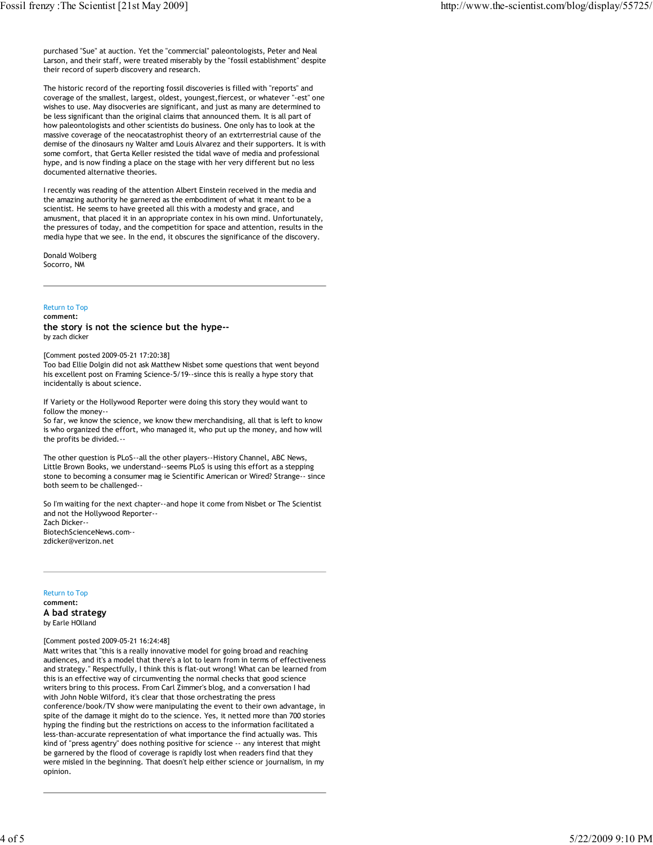purchased "Sue" at auction. Yet the "commercial" paleontologists, Peter and Neal Larson, and their staff, were treated miserably by the "fossil establishment" despite their record of superb discovery and research.

The historic record of the reporting fossil discoveries is filled with "reports" and coverage of the smallest, largest, oldest, youngest,fiercest, or whatever "-est" one wishes to use. May disocveries are significant, and just as many are determined to be less significant than the original claims that announced them. It is all part of how paleontologists and other scientists do business. One only has to look at the massive coverage of the neocatastrophist theory of an extrterrestrial cause of the demise of the dinosaurs ny Walter amd Louis Alvarez and their supporters. It is with some comfort, that Gerta Keller resisted the tidal wave of media and professional hype, and is now finding a place on the stage with her very different but no less documented alternative theories.

I recently was reading of the attention Albert Einstein received in the media and the amazing authority he garnered as the embodiment of what it meant to be a scientist. He seems to have greeted all this with a modesty and grace, and amusment, that placed it in an appropriate contex in his own mind. Unfortunately, the pressures of today, and the competition for space and attention, results in the media hype that we see. In the end, it obscures the significance of the discovery.

Donald Wolberg Socorro, NM

## Return to Top

comment:

the story is not the science but the hype- by zach dicker

[Comment posted 2009-05-21 17:20:38]

Too bad Ellie Dolgin did not ask Matthew Nisbet some questions that went beyond his excellent post on Framing Science-5/19--since this is really a hype story that incidentally is about science.

If Variety or the Hollywood Reporter were doing this story they would want to follow the money--

So far, we know the science, we know thew merchandising, all that is left to know is who organized the effort, who managed it, who put up the money, and how will the profits be divided.-

The other question is PLoS--all the other players--History Channel, ABC News, Little Brown Books, we understand--seems PLoS is using this effort as a stepping stone to becoming a consumer mag ie Scientific American or Wired? Strange-- since both seem to be challenged--

So I'm waiting for the next chapter--and hope it come from Nisbet or The Scientist and not the Hollywood Reporter-- Zach Dicker-- BiotechScienceNews.com- zdicker@verizon.net

#### Return to Top

comment: A bad strategy by Earle HOlland

#### [Comment posted 2009-05-21 16:24:48]

Matt writes that "this is a really innovative model for going broad and reaching audiences, and it's a model that there's a lot to learn from in terms of effectiveness and strategy." Respectfully, I think this is flat-out wrong! What can be learned from this is an effective way of circumventing the normal checks that good science writers bring to this process. From Carl Zimmer's blog, and a conversation I had with John Noble Wilford, it's clear that those orchestrating the press conference/book/TV show were manipulating the event to their own advantage, in spite of the damage it might do to the science. Yes, it netted more than 700 stories hyping the finding but the restrictions on access to the information facilitated a less-than-accurate representation of what importance the find actually was. This kind of "press agentry" does nothing positive for science -- any interest that might be garnered by the flood of coverage is rapidly lost when readers find that they were misled in the beginning. That doesn't help either science or journalism, in my opinion.